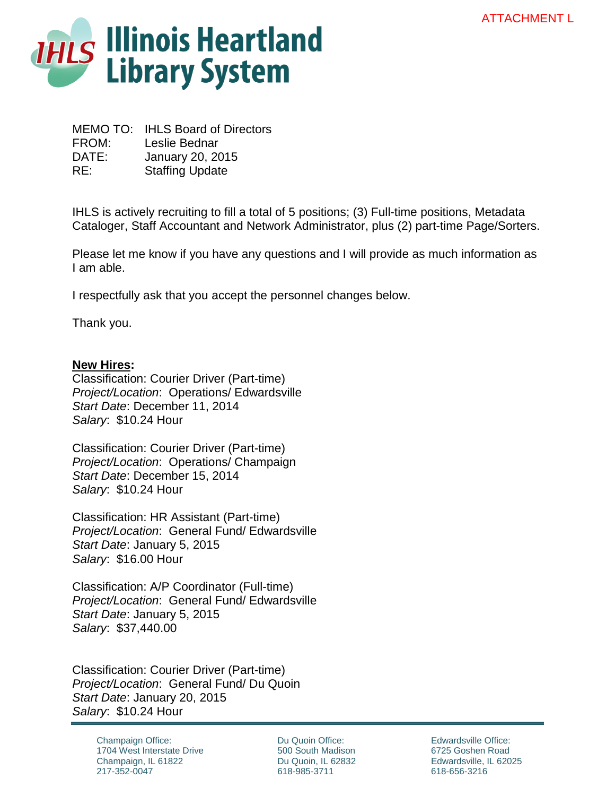

MEMO TO: IHLS Board of Directors FROM: Leslie Bednar DATE: January 20, 2015 RE: Staffing Update

IHLS is actively recruiting to fill a total of 5 positions; (3) Full-time positions, Metadata Cataloger, Staff Accountant and Network Administrator, plus (2) part-time Page/Sorters.

Please let me know if you have any questions and I will provide as much information as I am able.

I respectfully ask that you accept the personnel changes below.

Thank you.

## **New Hires:**

Classification: Courier Driver (Part-time) *Project/Location*: Operations/ Edwardsville *Start Date*: December 11, 2014 *Salary*: \$10.24 Hour

Classification: Courier Driver (Part-time) *Project/Location*: Operations/ Champaign *Start Date*: December 15, 2014 *Salary*: \$10.24 Hour

Classification: HR Assistant (Part-time) *Project/Location*: General Fund/ Edwardsville *Start Date*: January 5, 2015 *Salary*: \$16.00 Hour

Classification: A/P Coordinator (Full-time) *Project/Location*: General Fund/ Edwardsville *Start Date*: January 5, 2015 *Salary*: \$37,440.00

Classification: Courier Driver (Part-time) *Project/Location*: General Fund/ Du Quoin *Start Date*: January 20, 2015 *Salary*: \$10.24 Hour

> Champaign Office: 1704 West Interstate Drive Champaign, IL 61822 217-352-0047

Du Quoin Office: 500 South Madison Du Quoin, IL 62832 618-985-3711

Edwardsville Office: 6725 Goshen Road Edwardsville, IL 62025 618-656-3216